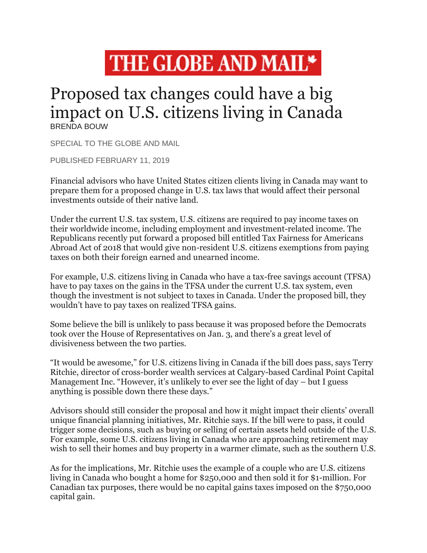

## Proposed tax changes could have a big impact on U.S. citizens living in Canada BRENDA BOUW

SPECIAL TO THE GLOBE AND MAIL

PUBLISHED FEBRUARY 11, 2019

Financial advisors who have United States citizen clients living in Canada may want to prepare them for a proposed change in U.S. tax laws that would affect their personal investments outside of their native land.

Under the current U.S. tax system, U.S. citizens are required to pay income taxes on their worldwide income, including employment and investment-related income. The Republicans recently put forward a proposed bill entitled Tax Fairness for Americans Abroad Act of 2018 that would give non-resident U.S. citizens exemptions from paying taxes on both their foreign earned and unearned income.

For example, U.S. citizens living in Canada who have a tax-free savings account (TFSA) have to pay taxes on the gains in the TFSA under the current U.S. tax system, even though the investment is not subject to taxes in Canada. Under the proposed bill, they wouldn't have to pay taxes on realized TFSA gains.

Some believe the bill is unlikely to pass because it was proposed before the Democrats took over the House of Representatives on Jan. 3, and there's a great level of divisiveness between the two parties.

"It would be awesome," for U.S. citizens living in Canada if the bill does pass, says Terry Ritchie, director of cross-border wealth services at Calgary-based Cardinal Point Capital Management Inc. "However, it's unlikely to ever see the light of day – but I guess anything is possible down there these days."

Advisors should still consider the proposal and how it might impact their clients' overall unique financial planning initiatives, Mr. Ritchie says. If the bill were to pass, it could trigger some decisions, such as buying or selling of certain assets held outside of the U.S. For example, some U.S. citizens living in Canada who are approaching retirement may wish to sell their homes and buy property in a warmer climate, such as the southern U.S.

As for the implications, Mr. Ritchie uses the example of a couple who are U.S. citizens living in Canada who bought a home for \$250,000 and then sold it for \$1-million. For Canadian tax purposes, there would be no capital gains taxes imposed on the \$750,000 capital gain.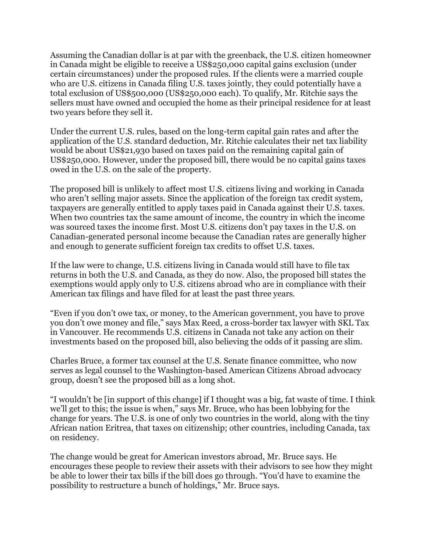Assuming the Canadian dollar is at par with the greenback, the U.S. citizen homeowner in Canada might be eligible to receive a US\$250,000 capital gains exclusion (under certain circumstances) under the proposed rules. If the clients were a married couple who are U.S. citizens in Canada filing U.S. taxes jointly, they could potentially have a total exclusion of US\$500,000 (US\$250,000 each). To qualify, Mr. Ritchie says the sellers must have owned and occupied the home as their principal residence for at least two years before they sell it.

Under the current U.S. rules, based on the long-term capital gain rates and after the application of the U.S. standard deduction, Mr. Ritchie calculates their net tax liability would be about US\$21,930 based on taxes paid on the remaining capital gain of US\$250,000. However, under the proposed bill, there would be no capital gains taxes owed in the U.S. on the sale of the property.

The proposed bill is unlikely to affect most U.S. citizens living and working in Canada who aren't selling major assets. Since the application of the foreign tax credit system, taxpayers are generally entitled to apply taxes paid in Canada against their U.S. taxes. When two countries tax the same amount of income, the country in which the income was sourced taxes the income first. Most U.S. citizens don't pay taxes in the U.S. on Canadian-generated personal income because the Canadian rates are generally higher and enough to generate sufficient foreign tax credits to offset U.S. taxes.

If the law were to change, U.S. citizens living in Canada would still have to file tax returns in both the U.S. and Canada, as they do now. Also, the proposed bill states the exemptions would apply only to U.S. citizens abroad who are in compliance with their American tax filings and have filed for at least the past three years.

"Even if you don't owe tax, or money, to the American government, you have to prove you don't owe money and file," says Max Reed, a cross-border tax lawyer with SKL Tax in Vancouver. He recommends U.S. citizens in Canada not take any action on their investments based on the proposed bill, also believing the odds of it passing are slim.

Charles Bruce, a former tax counsel at the U.S. Senate finance committee, who now serves as legal counsel to the Washington-based American Citizens Abroad advocacy group, doesn't see the proposed bill as a long shot.

"I wouldn't be [in support of this change] if I thought was a big, fat waste of time. I think we'll get to this; the issue is when," says Mr. Bruce, who has been lobbying for the change for years. The U.S. is one of only two countries in the world, along with the tiny African nation Eritrea, that taxes on citizenship; other countries, including Canada, tax on residency.

The change would be great for American investors abroad, Mr. Bruce says. He encourages these people to review their assets with their advisors to see how they might be able to lower their tax bills if the bill does go through. "You'd have to examine the possibility to restructure a bunch of holdings," Mr. Bruce says.